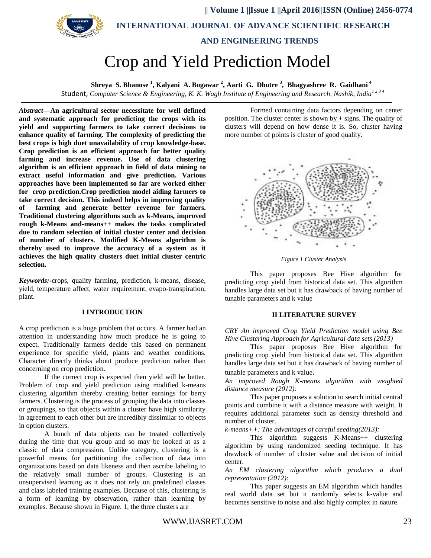

 **|| Volume 1 ||Issue 1 ||April 2016||ISSN (Online) 2456-0774 INTERNATIONAL JOURNAL OF ADVANCE SCIENTIFIC RESEARCH** 

# **AND ENGINEERING TRENDS**

# Crop and Yield Prediction Model

**Shreya S. Bhanose <sup>1</sup> , Kalyani A. Bogawar <sup>2</sup> , Aarti G. Dhotre <sup>3</sup> , Bhagyashree R. Gaidhani <sup>4</sup>**

Student, *Computer Science & Engineering, K. K. Wagh Institute of Engineering and Research, Nashik, India1 2 3 4*

*Abstract***—An agricultural sector necessitate for well defined and systematic approach for predicting the crops with its yield and supporting farmers to take correct decisions to enhance quality of farming. The complexity of predicting the best crops is high duet unavailability of crop knowledge-base. Crop prediction is an efficient approach for better quality farming and increase revenue. Use of data clustering algorithm is an efficient approach in field of data mining to extract useful information and give prediction. Various approaches have been implemented so far are worked either for crop prediction.Crop prediction model aiding farmers to take correct decision. This indeed helps in improving quality of farming and generate better revenue for farmers. Traditional clustering algorithms such as k-Means, improved rough k-Means and-means++ makes the tasks complicated due to random selection of initial cluster center and decision of number of clusters. Modified K-Means algorithm is thereby used to improve the accuracy of a system as it achieves the high quality clusters duet initial cluster centric selection.**

*Keywords:-*crops, quality farming, prediction, k-means, disease, yield, temperature affect, water requirement, evapo-transpiration, plant.

#### **I INTRODUCTION**

A crop prediction is a huge problem that occurs. A farmer had an attention in understanding how much produce he is going to expect. Traditionally farmers decide this based on permanent experience for specific yield, plants and weather conditions. Character directly thinks about produce prediction rather than concerning on crop prediction.

If the correct crop is expected then yield will be better. Problem of crop and yield prediction using modified k-means clustering algorithm thereby creating better earnings for berry farmers. Clustering is the process of grouping the data into classes or groupings, so that objects within a cluster have high similarity in agreement to each other but are incredibly dissimilar to objects in option clusters.

A bunch of data objects can be treated collectively during the time that you group and so may be looked at as a classic of data compression. Unlike category, clustering is a powerful means for partitioning the collection of data into organizations based on data likeness and then ascribe labeling to the relatively small number of groups. Clustering is an unsupervised learning as it does not rely on predefined classes and class labeled training examples. Because of this, clustering is a form of learning by observation, rather than learning by examples. Because shown in Figure. 1, the three clusters are

Formed containing data factors depending on center position. The cluster center is shown by  $+$  signs. The quality of clusters will depend on how dense it is. So, cluster having more number of points is cluster of good quality.



*Figure 1 Cluster Analysis*

This paper proposes Bee Hive algorithm for predicting crop yield from historical data set. This algorithm handles large data set but it has drawback of having number of tunable parameters and k value

#### **II LITERATURE SURVEY**

*CRY An improved Crop Yield Prediction model using Bee Hive Clustering Approach for Agricultural data sets (2013)*

This paper proposes Bee Hive algorithm for predicting crop yield from historical data set. This algorithm handles large data set but it has drawback of having number of

tunable parameters and k value.

*An improved Rough K-means algorithm with weighted distance measure (2012):*

This paper proposes a solution to search initial central points and combine it with a distance measure with weight. It requires additional parameter such as density threshold and number of cluster.

*k-means++: The advantages of careful seeding(2013):*

This algorithm suggests K-Means++ clustering algorithm by using randomized seeding technique. It has drawback of number of cluster value and decision of initial center.

*An EM clustering algorithm which produces a dual representation (2012):* 

This paper suggests an EM algorithm which handles real world data set but it randomly selects k-value and becomes sensitive to noise and also highly complex in nature.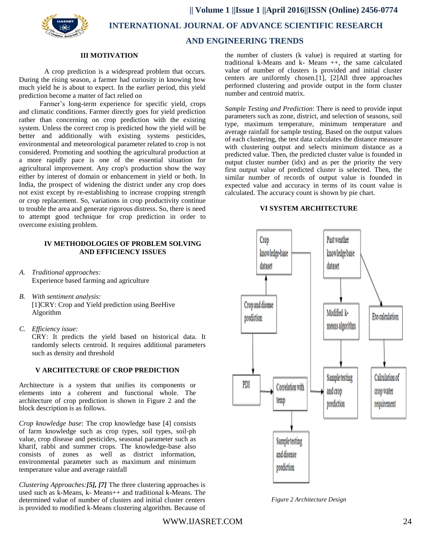

 **INTERNATIONAL JOURNAL OF ADVANCE SCIENTIFIC RESEARCH** 

# **AND ENGINEERING TRENDS**

#### **III MOTIVATION**

A crop prediction is a widespread problem that occurs. During the rising season, a farmer had curiosity in knowing how much yield he is about to expect. In the earlier period, this yield prediction become a matter of fact relied on

Farmer's long-term experience for specific yield, crops and climatic conditions. Farmer directly goes for yield prediction rather than concerning on crop prediction with the existing system. Unless the correct crop is predicted how the yield will be better and additionally with existing systems pesticides, environmental and meteorological parameter related to crop is not considered. Promoting and soothing the agricultural production at a more rapidly pace is one of the essential situation for agricultural improvement. Any crop's production show the way either by interest of domain or enhancement in yield or both. In India, the prospect of widening the district under any crop does not exist except by re-establishing to increase cropping strength or crop replacement. So, variations in crop productivity continue to trouble the area and generate rigorous distress. So, there is need to attempt good technique for crop prediction in order to overcome existing problem.

## **IV METHODOLOGIES OF PROBLEM SOLVING AND EFFICIENCY ISSUES**

- *A. Traditional approaches:* Experience based farming and agriculture
- *B. With sentiment analysis:* [1]CRY: Crop and Yield prediction using BeeHive Algorithm
- *C. Efficiency issue:*

CRY: It predicts the yield based on historical data. It randomly selects centroid. It requires additional parameters such as density and threshold

# **V ARCHITECTURE OF CROP PREDICTION**

Architecture is a system that unifies its components or elements into a coherent and functional whole. The architecture of crop prediction is shown in Figure 2 and the block description is as follows.

*Crop knowledge base*: The crop knowledge base [4] consists of farm knowledge such as crop types, soil types, soil-ph value, crop disease and pesticides, seasonal parameter such as kharif, rabbi and summer crops. The knowledge-base also consists of zones as well as district information, environmental parameter such as maximum and minimum temperature value and average rainfall

*Clustering Approaches:[5], [7]* The three clustering approaches is used such as k-Means, k- Means++ and traditional k-Means. The determined value of number of clusters and initial cluster centers is provided to modified k-Means clustering algorithm. Because of

the number of clusters (k value) is required at starting for traditional k-Means and k- Means ++, the same calculated value of number of clusters is provided and initial cluster centers are uniformly chosen.[1], [2]All three approaches performed clustering and provide output in the form cluster number and centroid matrix.

*Sample Testing and Prediction*: There is need to provide input parameters such as zone, district, and selection of seasons, soil type, maximum temperature, minimum temperature and average rainfall for sample testing. Based on the output values of each clustering, the test data calculates the distance measure with clustering output and selects minimum distance as a predicted value. Then, the predicted cluster value is founded in output cluster number  $(idx)$  and as per the priority the very first output value of predicted cluster is selected. Then, the similar number of records of output value is founded in expected value and accuracy in terms of its count value is calculated. The accuracy count is shown by pie chart.

# **VI SYSTEM ARCHITECTURE**



*Figure 2 Architecture Design*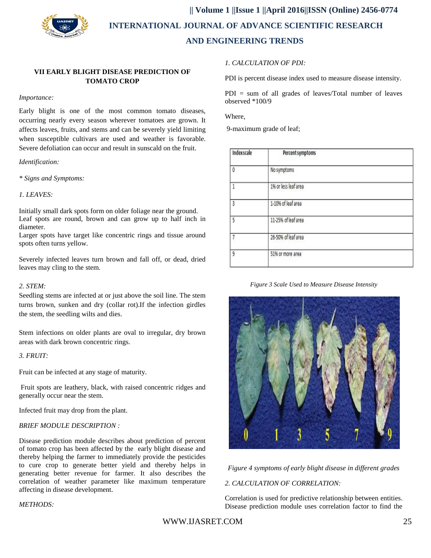

 **|| Volume 1 ||Issue 1 ||April 2016||ISSN (Online) 2456-0774 INTERNATIONAL JOURNAL OF ADVANCE SCIENTIFIC RESEARCH AND ENGINEERING TRENDS**

# **VII EARLY BLIGHT DISEASE PREDICTION OF TOMATO CROP**

#### *Importance:*

Early blight is one of the most common tomato diseases, occurring nearly every season wherever tomatoes are grown. It affects leaves, fruits, and stems and can be severely yield limiting when susceptible cultivars are used and weather is favorable. Severe defoliation can occur and result in sunscald on the fruit.

#### *Identification:*

*\* Signs and Symptoms:*

## *1. LEAVES:*

Initially small dark spots form on older foliage near the ground. Leaf spots are round, brown and can grow up to half inch in diameter.

Larger spots have target like concentric rings and tissue around spots often turns yellow.

Severely infected leaves turn brown and fall off, or dead, dried leaves may cling to the stem.

#### *2. STEM:*

Seedling stems are infected at or just above the soil line. The stem turns brown, sunken and dry (collar rot).If the infection girdles the stem, the seedling wilts and dies.

Stem infections on older plants are oval to irregular, dry brown areas with dark brown concentric rings.

## *3. FRUIT:*

Fruit can be infected at any stage of maturity.

Fruit spots are leathery, black, with raised concentric ridges and generally occur near the stem.

Infected fruit may drop from the plant.

#### *BRIEF MODULE DESCRIPTION :*

Disease prediction module describes about prediction of percent of tomato crop has been affected by the early blight disease and thereby helping the farmer to immediately provide the pesticides to cure crop to generate better yield and thereby helps in generating better revenue for farmer. It also describes the correlation of weather parameter like maximum temperature affecting in disease development.

## *METHODS:*

*1. CALCULATION OF PDI:* 

PDI is percent disease index used to measure disease intensity.

PDI = sum of all grades of leaves/Total number of leaves observed \*100/9

Where,

9-maximum grade of leaf;

| Indexscale | Percent symptoms     |  |
|------------|----------------------|--|
| 0          | No symptoms          |  |
|            | 1% or less leaf area |  |
| 3          | 1-10% of leaf area   |  |
| 5          | 11-25% of leaf area  |  |
|            | 26-50% of leaf area  |  |
| 9          | 51% or more area     |  |
|            |                      |  |

#### *Figure 3 Scale Used to Measure Disease Intensity*



*Figure 4 symptoms of early blight disease in different grades*

#### *2. CALCULATION OF CORRELATION:*

Correlation is used for predictive relationship between entities. Disease prediction module uses correlation factor to find the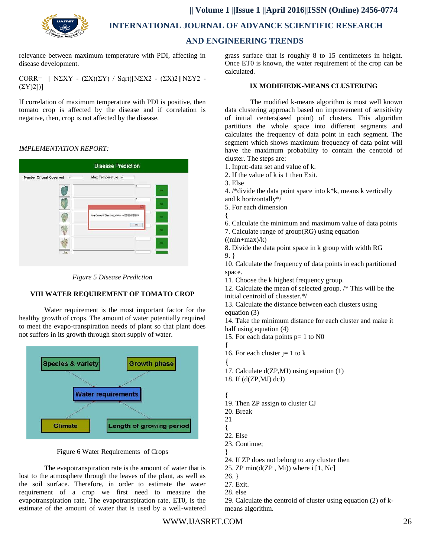

 **INTERNATIONAL JOURNAL OF ADVANCE SCIENTIFIC RESEARCH** 

# **AND ENGINEERING TRENDS**

relevance between maximum temperature with PDI, affecting in disease development.

CORR=  $[ N\Sigma XY - (ΣX)(ΣY) / Sqrt([N\Sigma X2 - (ΣX)2][N\Sigma Y2 (\Sigma Y)2$ ]

If correlation of maximum temperature with PDI is positive, then tomato crop is affected by the disease and if correlation is negative, then, crop is not affected by the disease.

# *IMPLEMENTATION REPORT:*





# **VIII WATER REQUIREMENT OF TOMATO CROP**

Water requirement is the most important factor for the healthy growth of crops. The amount of water potentially required to meet the evapo-transpiration needs of plant so that plant does not suffers in its growth through short supply of water.



# Figure 6 Water Requirements of Crops

The evapotranspiration rate is the amount of water that is lost to the atmosphere through the leaves of the plant, as well as the soil surface. Therefore, in order to estimate the water requirement of a crop we first need to measure the evapotranspiration rate. The evapotranspiration rate, ET0, is the estimate of the amount of water that is used by a well-watered

grass surface that is roughly 8 to 15 centimeters in height. Once ET0 is known, the water requirement of the crop can be calculated.

## **IX MODIFIEDK-MEANS CLUSTERING**

The modified k-means algorithm is most well known data clustering approach based on improvement of sensitivity of initial centers(seed point) of clusters. This algorithm partitions the whole space into different segments and calculates the frequency of data point in each segment. The segment which shows maximum frequency of data point will have the maximum probability to contain the centroid of cluster. The steps are:

- 1. Input:-data set and value of k.
- 2. If the value of k is 1 then Exit.
- 3. Else
- 4. /\*divide the data point space into k\*k, means k vertically and k horizontally\*/
- 5. For each dimension
- {
- 6. Calculate the minimum and maximum value of data points
- 7. Calculate range of group(RG) using equation
- $((min+max)/k)$

8. Divide the data point space in k group with width RG 9. }

10. Calculate the frequency of data points in each partitioned space.

11. Choose the k highest frequency group.

12. Calculate the mean of selected group. /\* This will be the initial centroid of clussster.\*/

13. Calculate the distance between each clusters using equation (3)

14. Take the minimum distance for each cluster and make it half using equation (4)

- 15. For each data points p= 1 to N0
- { 16. For each cluster  $j = 1$  to k
- {
- 17. Calculate d(ZP,MJ) using equation (1)
- 18. If (d(ZP,MJ) dcJ)
	-
- { 19. Then ZP assign to cluster CJ
- 20. Break
- 21
- {
- 22. Else
- 23. Continue;
- } 24. If ZP does not belong to any cluster then
- 25. ZP min( $d$ (ZP, Mi)) where i [1, Nc]
- $26.$ }
- 27. Exit.
- 28. else

29. Calculate the centroid of cluster using equation (2) of kmeans algorithm.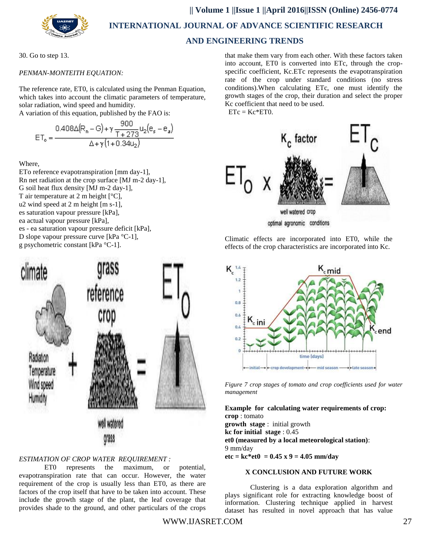

**|| Volume 1 ||Issue 1 ||April 2016||ISSN (Online) 2456-0774**

 **INTERNATIONAL JOURNAL OF ADVANCE SCIENTIFIC RESEARCH** 

# **AND ENGINEERING TRENDS**

30. Go to step 13.

# *PENMAN-MONTEITH EQUATION:*

The reference rate, ET0, is calculated using the Penman Equation, which takes into account the climatic parameters of temperature, solar radiation, wind speed and humidity.

A variation of this equation, published by the FAO is:  $000$ 

$$
ET_{o} = \frac{0.408\Delta(R_{n} - G) + \gamma \frac{900}{T + 273}u_{2}(e_{s} - e_{a})}{\Delta + \gamma(1 + 0.34u_{2})}
$$

Where,

ETo reference evapotranspiration [mm day-1], Rn net radiation at the crop surface [MJ m-2 day-1], G soil heat flux density [MJ m-2 day-1], T air temperature at 2 m height [°C], u2 wind speed at 2 m height [m s-1], es saturation vapour pressure [kPa], ea actual vapour pressure [kPa], es - ea saturation vapour pressure deficit [kPa], D slope vapour pressure curve [kPa °C-1], g psychometric constant [kPa °C-1].



# *ESTIMATION OF CROP WATER REQUIREMENT :*

ET0 represents the maximum, or potential, evapotranspiration rate that can occur. However, the water requirement of the crop is usually less than ET0, as there are factors of the crop itself that have to be taken into account. These include the growth stage of the plant, the leaf coverage that provides shade to the ground, and other particulars of the crops

that make them vary from each other. With these factors taken into account, ET0 is converted into ETc, through the cropspecific coefficient, Kc.ETc represents the evapotranspiration rate of the crop under standard conditions (no stress conditions).When calculating ETc, one must identify the growth stages of the crop, their duration and select the proper Kc coefficient that need to be used.

 $ETc = Kc*ET0.$ 



Climatic effects are incorporated into ET0, while the effects of the crop characteristics are incorporated into Kc.



*Figure 7 crop stages of tomato and crop coefficients used for water management*

**Example for calculating water requirements of crop: crop** : tomato

**growth stage** : initial growth **kc for initial stage** : 0.45 **et0 (measured by a local meteorological station)**: 9 mm/day **etc = kc\*et0 = 0.45 x 9 = 4.05 mm/day** 

#### **X CONCLUSION AND FUTURE WORK**

Clustering is a data exploration algorithm and plays significant role for extracting knowledge boost of information. Clustering technique applied in harvest dataset has resulted in novel approach that has value